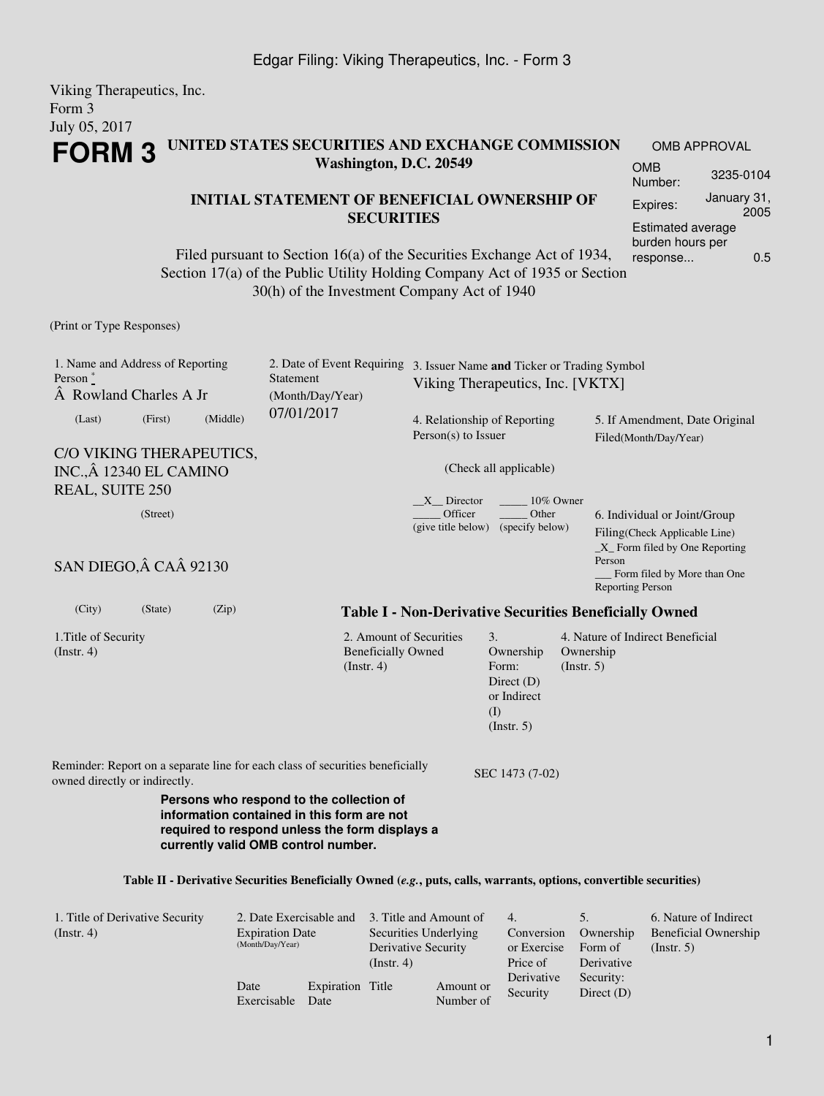#### Viking Therapeutics, Inc. Form 3 July 05, 2017 **FORM 3 UNITED STATES SECURITIES AND EXCHANGE COMMISSION Washington, D.C. 20549 INITIAL STATEMENT OF BENEFICIAL OWNERSHIP OF SECURITIES** Filed pursuant to Section 16(a) of the Securities Exchange Act of 1934, Section 17(a) of the Public Utility Holding Company Act of 1935 or Section 30(h) of the Investment Company Act of 1940 OMB APPROVAL OMB Number: 3235-0104 Expires: January 31, 2005 Estimated average burden hours per response... 0.5 (Print or Type Responses) 1. Name and Address of Reporting Person  $*$ A Rowland Charles A Jr 2. Date of Event Requiring 3. Issuer Name **and** Ticker or Trading Symbol Statement (Month/Day/Year) 07/01/2017 Viking Therapeutics, Inc. [VKTX] (Last) (First) (Middle) C/O VIKING THERAPEUTICS, INC., 12340 EL CAMINO REAL, SUITE 250 4. Relationship of Reporting Person(s) to Issuer (Check all applicable)  $X$  Director  $10\%$  Owner \_\_\_\_\_ Officer (give title below) (specify below) \_\_\_\_\_ Other 5. If Amendment, Date Original Filed(Month/Day/Year) (Street) SAN DIEGO, Â CA Â 92130 6. Individual or Joint/Group Filing(Check Applicable Line) \_X\_ Form filed by One Reporting Person \_\_\_ Form filed by More than One Reporting Person

1.Title of Security

(Instr. 4)

(City) (State) (Zip) **Table I - Non-Derivative Securities Beneficially Owned**

3. Ownership Form: Direct (D) or Indirect (I) (Instr. 5)

2. Amount of Securities Beneficially Owned (Instr. 4)

4. Nature of Indirect Beneficial Ownership (Instr. 5)

Reminder: Report on a separate line for each class of securities beneficially owned directly or indirectly.<br>SEC 1473 (7-02)

**Persons who respond to the collection of information contained in this form are not required to respond unless the form displays a currently valid OMB control number.**

#### **Table II - Derivative Securities Beneficially Owned (***e.g.***, puts, calls, warrants, options, convertible securities)**

| 1. Title of Derivative Security<br>$($ Instr. 4 $)$ | 2. Date Exercisable and<br><b>Expiration Date</b><br>(Month/Day/Year) |                          | 3. Title and Amount of<br>Securities Underlying<br>Derivative Security<br>(Insert. 4) |                        | 4.<br>Conversion<br>or Exercise<br>Price of | Ownership<br>Form of<br>Derivative | 6. Nature of Indirect<br><b>Beneficial Ownership</b><br>$($ Instr. 5 $)$ |
|-----------------------------------------------------|-----------------------------------------------------------------------|--------------------------|---------------------------------------------------------------------------------------|------------------------|---------------------------------------------|------------------------------------|--------------------------------------------------------------------------|
|                                                     | Date<br>Exercisable                                                   | Expiration Title<br>Date |                                                                                       | Amount or<br>Number of | Derivative<br>Security                      | Security:<br>Direct $(D)$          |                                                                          |